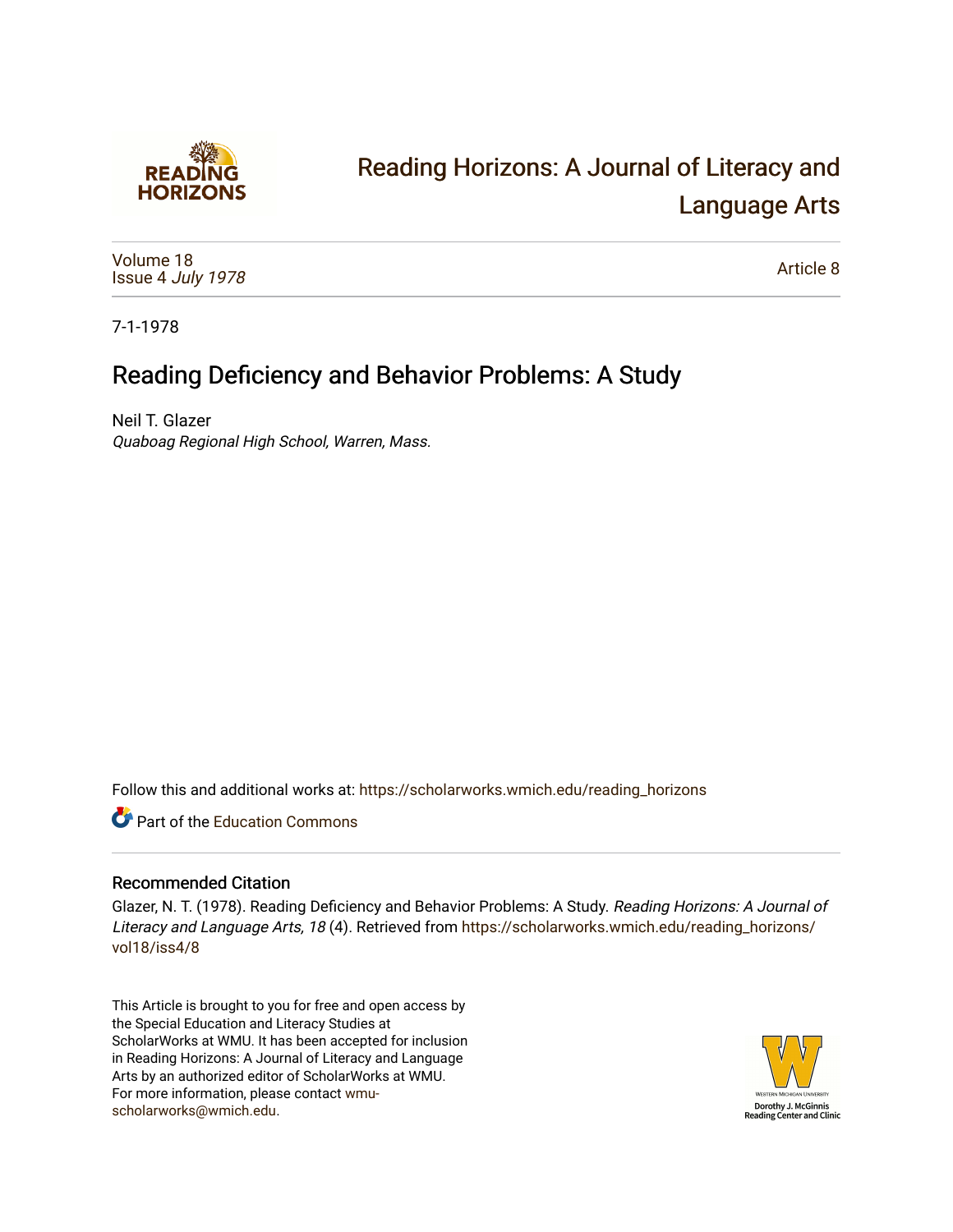

# [Reading Horizons: A Journal of Literacy and](https://scholarworks.wmich.edu/reading_horizons)  [Language Arts](https://scholarworks.wmich.edu/reading_horizons)

[Volume 18](https://scholarworks.wmich.edu/reading_horizons/vol18) Issue 4 [July 1978](https://scholarworks.wmich.edu/reading_horizons/vol18/iss4)

[Article 8](https://scholarworks.wmich.edu/reading_horizons/vol18/iss4/8) 

7-1-1978

## Reading Deficiency and Behavior Problems: A Study

Neil T. Glazer Quaboag Regional High School, Warren, Mass.

Follow this and additional works at: [https://scholarworks.wmich.edu/reading\\_horizons](https://scholarworks.wmich.edu/reading_horizons?utm_source=scholarworks.wmich.edu%2Freading_horizons%2Fvol18%2Fiss4%2F8&utm_medium=PDF&utm_campaign=PDFCoverPages)

**C** Part of the [Education Commons](http://network.bepress.com/hgg/discipline/784?utm_source=scholarworks.wmich.edu%2Freading_horizons%2Fvol18%2Fiss4%2F8&utm_medium=PDF&utm_campaign=PDFCoverPages)

### Recommended Citation

Glazer, N. T. (1978). Reading Deficiency and Behavior Problems: A Study. Reading Horizons: A Journal of Literacy and Language Arts, 18 (4). Retrieved from [https://scholarworks.wmich.edu/reading\\_horizons/](https://scholarworks.wmich.edu/reading_horizons/vol18/iss4/8?utm_source=scholarworks.wmich.edu%2Freading_horizons%2Fvol18%2Fiss4%2F8&utm_medium=PDF&utm_campaign=PDFCoverPages) [vol18/iss4/8](https://scholarworks.wmich.edu/reading_horizons/vol18/iss4/8?utm_source=scholarworks.wmich.edu%2Freading_horizons%2Fvol18%2Fiss4%2F8&utm_medium=PDF&utm_campaign=PDFCoverPages)

This Article is brought to you for free and open access by the Special Education and Literacy Studies at ScholarWorks at WMU. It has been accepted for inclusion in Reading Horizons: A Journal of Literacy and Language Arts by an authorized editor of ScholarWorks at WMU. For more information, please contact [wmu](mailto:wmu-scholarworks@wmich.edu)[scholarworks@wmich.edu.](mailto:wmu-scholarworks@wmich.edu)

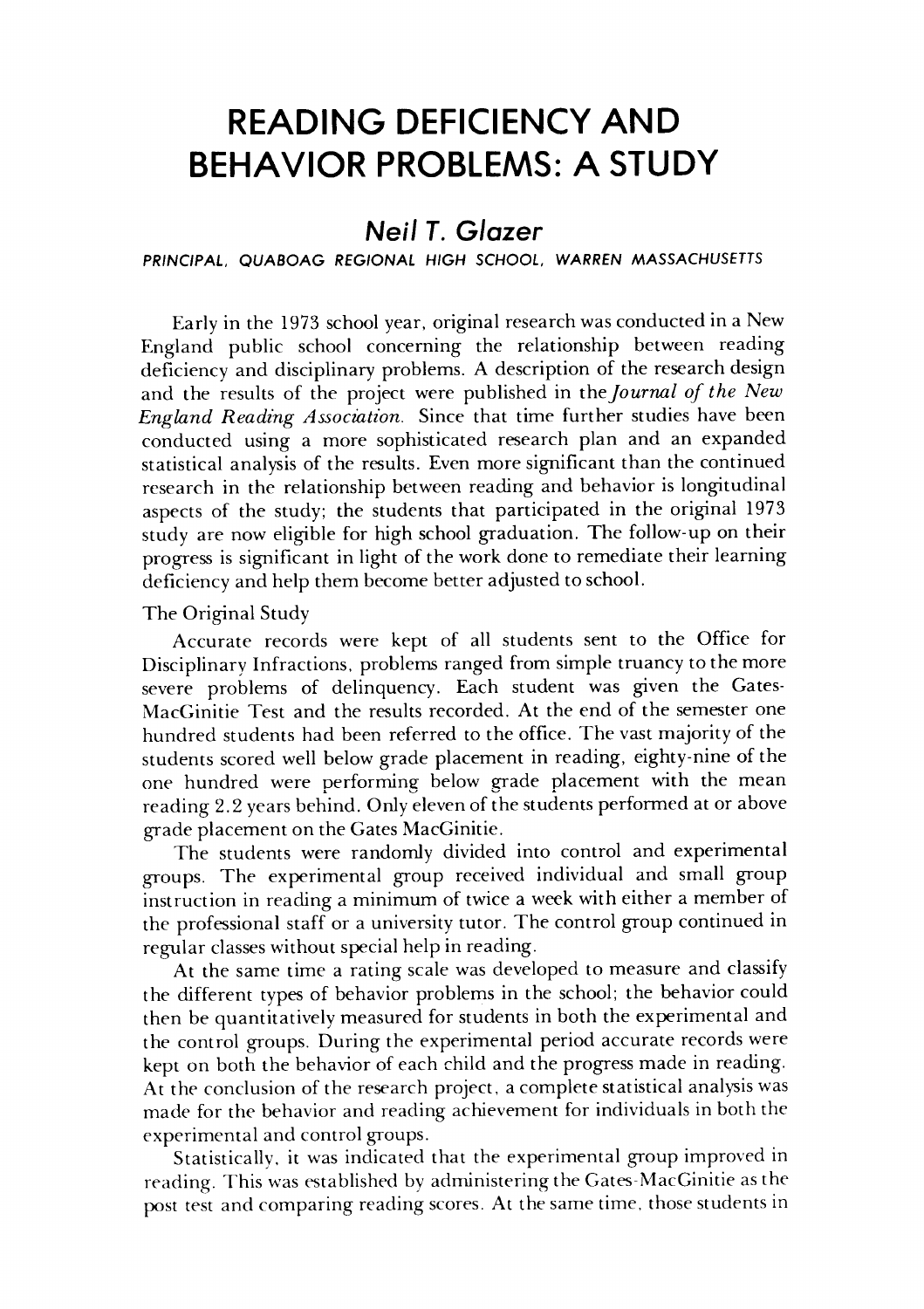## *READING DEFICIENCY AND* **READING DEFICIENCY AND**  *BEHAVIOR PROBLEMS: A STUDY* **BEHAVIOR PROBLEMS: A STUDY**

### *Neil T. Glazer* **Nei I T. Glazer**

#### **PRINCIPAL, QUABOAG REGIONAL HIGH SCHOOL, WARREN MASSACHUSETTS** PRINCIPAL, QUABOAG REGIONAL HIGH SCHOOL, WARREN MASSACHUSETTS

Early in the 1973 school year, original researchwasconducted in a New Early in the 1973 school year, original research was conducted in a New England public school concerning the relationship between reading England public school concerning the relationship between reading deficiency and disciplinary problems. A description of the researchdesign deficiency and disciplinary problems. A description of the research design and the results of the project were published in the**Journal of the New** and the results the project were published in *thejournal of the New*  **England Reading Association.** Since that time further studies have been *England Reading Association.* Since that time further studies have been conducted using a more sophisticated research plan and an expanded conducted using a more sophisticated research plan and an expanded statistical analysis of the results. Even more significant than the continued statistical analysis of the results. Even more significant the continued research in the relationship between reading and behavior is longitudinal research in the relationship between reading and behavior is longitudinal aspects of the study; the students that participated in the original 1973 aspects of the study; the students that participated in the original 1973 study are now eligible for high school graduation. The follow-up on their study are now eligible for high school graduation. The follow-up on their progress is significant in light of the work done to remediate their learning deficiency and help them become better adjusted to school.

The Original Study The Original Study

Accurate records were kept of all students sent to the Office for Accurate records were kept of all students sent to the Office for Disciplinary Infractions, problems ranged fromsimple truancy to the more Disciplinary Infractions, problems from simple truancy to more severe problems of delinquency. Each student was given the Gates-severe problems of delinquency. Each student was given the Gates-MacGinitie Test and the results recorded. At the end of the semester one MacGinitie Test and the results recorded. At the end of the semester one hundred students had been referred to the office. The vast majority of the students scored well belowgrade placement in reading, eighty-nine of the students scored well below grade placement in reading, eighty-nine of the one hundred were performing below grade placement with the mean one hundred were performing below grade placement with the mean reading 2.2 years behind. Only eleven of the students performed at or above reading 2.2 years behind. Only eleven of the students performed at or above grade placement on the Gates MacGinitie. grade placement on Gates MacGinitie.

The students were randomly divided into control and experimental The students were randomly divided into control and experimental groups. The experimental group received individual and small group groups. The experimental group received individual and small group instruction in reading a minimum of twice a week with either a member of instruction in reading a minimum of twice a week with either a member of the professional staff or a university tutor. The control group continued in the professional staff or a university tutor. The control group continued in regular classes without special help in reading. regular classes without special in reading.

At the same time a rating scale was developed to measure and classify At the same time a rating scale was developed to measure and classify the different types of behavior problems in the school; the behavior could the different types of behavior problems in the school; the behavior could then be quantitatively measured forstudents in both the experimental and then be quantitatively measured for students in both the experimental and the control groups. During the experimental period accurate records were the control groups. During the experimental period accurate records were kept on both the behavior of each child and the progress made in reading. At the conclusion of the research project, a complete statistical analysis was At the conclusion of the research project, a complete statistical analysis was made for the behavior and reading achievement for individuals in both the made for the behavior and reading achievement for individuals in both the experimental and control groups. experimental and control groups.

Statistically, it was indicated that the experimental group improved in Statistically. it was indicated that the experimental group improved in reading. This was established by administering the Gates-MacGinitie asthe reading. This was established by administering the Gates-MacGinitie as the post test and comparing reading scores. At the same time, those students in post test and comparing reading scores. At the same time. those students in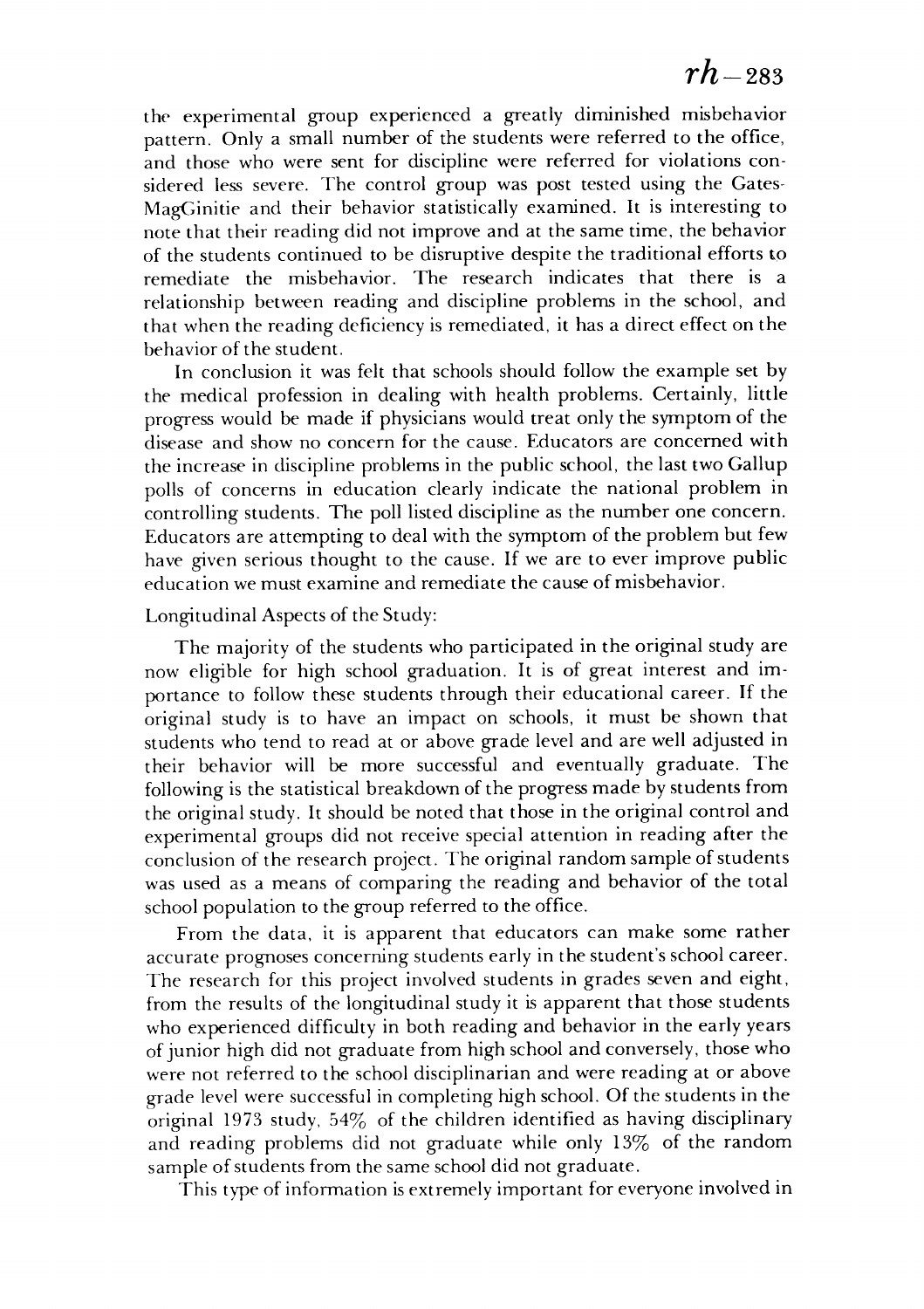the experimental group experienced a greatly diminished misbehavior the experimental group experienced a greatly diminished misbehavior pattern. Only a small number of the students were referred to the office, pattern. Only a small number of the students were referred to the office, and those who were sent for discipline were referred for violations con and those who were sent for discipline were referred for violations considered less severe. The control group was post tested using the Gates-sidered less severe. The control group was post tested using the Gates-MagGinitie and their behavior statistically examined. It is interesting to MagGinitie and their behavior statistically examined. It is interesting to note that their reading did not improve and at the same time, the behavior note that their reading did not improve and at the same time, the behavior of the students continued to be disruptive despite the traditional efforts to of the students continued to be disruptive despite the traditional efforts to remediate the misbehavior. The research indicates that there is a remediate the misbehavior. The research indicates that there is a relationship between reading and discipline problems in the school, and relationship between reading and discipline problems in the school, and that when the reading deficiency is remediated, it has a direct effect on the that when the reading deficiency is remediated, it has a direct effect on the behavior of the student. behavior of the student.

In conclusion it was felt that schools should follow the example set by In conclusion it was felt that schools should follow the example set by the medical profession in dealing with health problems. Certainly, little the medical profession in dealing with health problems. Certainly, little progress would be made if physicians would treat only the symptom of the progress would be made if physicians would treat only the symptom of the disease and show no concern for the cause. Educators are concerned with disease and show no concern for the cause. Educators are concerned with the increase in discipline problems in the public school, the last two Gallup the increase in discipline problems in the public school, the last two Gallup polls of concerns in education clearly indicate the national problem in polls of concerns in education clearly indicate the national problem in controlling students. The poll listed discipline as the number one concern. controlling students. The poll listed discipline as the number one concern. Educators are attempting to deal with the symptom of the problem but few Educators are attempting to deal with the symptom of the problem but few have given serious thought to the cause. If we are to ever improve public have given serious thought to the cause. If we are to ever improve public education we must examine and remediate the cause of misbehavior. education we must examine and remediate the cause of misbehavior.

#### Longitudinal Aspects of the Study: Longitudinal Aspects of the Study:

The majority of the students who participated in the original study are The majority of the students who participated in the original study are now eligible for high school graduation. It is of great interest and importance to follow these students through their educational career. If the portance to follow these students through their educational career. If the original study is to have an impact on schools, it must be shown that original study is to have an impact on schools, it must be shown that students who tend to read at or above grade level and are well adjusted in students who tend to read at or above grade level and are well adjusted in their behavior will be more successful and eventually graduate. The their behavior will be more successful and eventually graduate. The following is the statistical breakdownof the progress made by students from following is the statistical breakdown of the progress made by students from the original study. It should be noted that those in the original control and experimental groups did not receive special attention in reading after the experimental groups did not receive special attention in reading after the conclusion of the research project. The original random sample of students conclusion of the research project. The original random sample of students was used as a means of comparing the reading and behavior of the total was used as a means of comparing the reading and behavior of the total school population to the group referred to the office. From the data, it is apparent that educators can make some rather school population to the group referred to the office. From the data, it is apparent that educators can make some rather

accurate prognoses concerning students early in the student's schoolcareer. accurate prognoses concerning students early in the student's school career. The research for this project involved students in grades seven and eight, The research for this project involved students in grades seven and eight, from the results of the longitudinal study it is apparent that those students from the results of the longitudinal study it is apparent that those students who experienced difficulty in both reading and behavior in the early years who experienced difficulty in both reading and behavior in the early years of junior high did not graduate from high school and conversely, thosewho of junior high did not graduate from high school and conversely, those who were not referred to the school disciplinarian and were reading at or above were not referred to the school disciplinarian and were reading at or above grade level were successful in completing high school. Of the students in the original 1973 study, 54% of the children identified as having disciplinary original 1973 study, 54% of the children identified as having disciplinary and reading problems did not graduate while only 13% of the random and reading problems did not graduate while only 13% of the random sample of students from the same school did not graduate. sample of students from the same school did not graduate.

This type of information isextremely important for everyone involved in This type of information is extremely important for everyone involved in